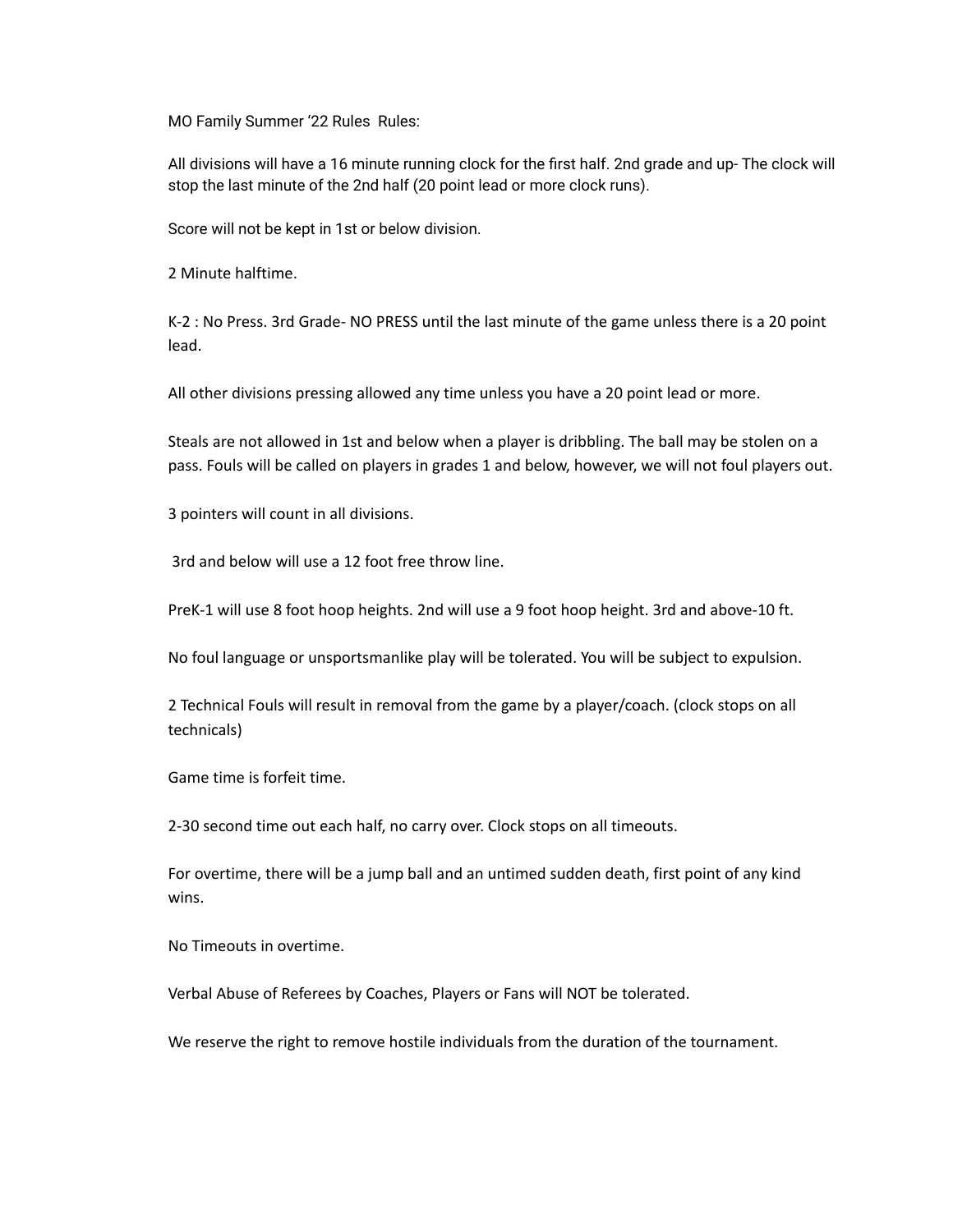MO Family Summer '22 Rules Rules:

All divisions will have a 16 minute running clock for the first half. 2nd grade and up- The clock will stop the last minute of the 2nd half (20 point lead or more clock runs).

Score will not be kept in 1st or below division.

2 Minute halftime.

K-2 : No Press. 3rd Grade- NO PRESS until the last minute of the game unless there is a 20 point lead.

All other divisions pressing allowed any time unless you have a 20 point lead or more.

Steals are not allowed in 1st and below when a player is dribbling. The ball may be stolen on a pass. Fouls will be called on players in grades 1 and below, however, we will not foul players out.

3 pointers will count in all divisions.

3rd and below will use a 12 foot free throw line.

PreK-1 will use 8 foot hoop heights. 2nd will use a 9 foot hoop height. 3rd and above-10 ft.

No foul language or unsportsmanlike play will be tolerated. You will be subject to expulsion.

2 Technical Fouls will result in removal from the game by a player/coach. (clock stops on all technicals)

Game time is forfeit time.

2-30 second time out each half, no carry over. Clock stops on all timeouts.

For overtime, there will be a jump ball and an untimed sudden death, first point of any kind wins.

No Timeouts in overtime.

Verbal Abuse of Referees by Coaches, Players or Fans will NOT be tolerated.

We reserve the right to remove hostile individuals from the duration of the tournament.